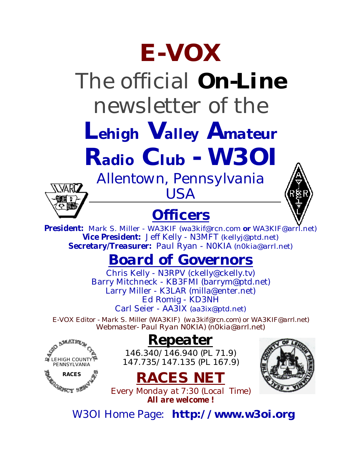# **E-VOX**

# The official *On-Line* newsletter of the

*Lehigh Valley Amateur*

*Radio Club - W3OI*

# *Allentown, Pennsylvania* VARI7

LEHIGH COUNTY PENNSYLVANIA **RACES**

### **Officers**

*USA*



*President:* Mark S. Miller - WA3KIF (wa3kif@rcn.com **or** WA3KIF@arrl.net) *Vice President:* Jeff Kelly - N3MFT [\(kellyj@ptd.net\)](mailto:kellyj@ptd.net) *Secretary/Treasurer:* Paul Ryan - N0KIA [\(n0kia@arrl.net\)](mailto:n0kia@arrl.net)

### *Board of Governors*

Chris Kelly - N3RPV [\(ckelly@ckelly.tv\)](mailto:ckelly@ckelly.tv) Barry Mitchneck - KB3FMI [\(barrym@ptd.net\)](mailto:barrym@ptd.net) Larry Miller - K3LAR [\(milla@enter.net\)](mailto:milla@enter.net) Ed Romig - KD3NH Carl Seier - AA3IX [\(aa3ix@ptd.net\)](mailto:aa3ix@ptd.net)

*E-VOX Editor - Mark S. Miller (WA3KIF) [\(wa3kif@rcn.com\)](mailto:wa3kif@rcn.com) or WA3KIF@arrl.net) Webmaster- Paul Ryan N0KIA) [\(n0kia@arrl.net\)](mailto:n0kia@arrl.net)*

#### *Repeater*

*146.340/146.940 (PL 71.9) 147.735/147.135 (PL 167.9)*





*Every Monday at 7:30 (Local Time) All are welcome !*

W3OI Home Page: **<http://www.w3oi.org>**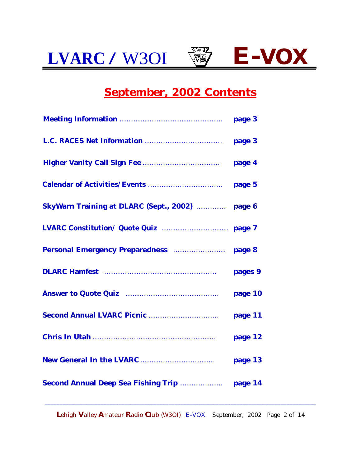

#### **September, 2002 Contents**

|                                                                       | pages 9 |
|-----------------------------------------------------------------------|---------|
| Answer to Quote Quiz <b>Election</b> 2014 <b>Answer</b> to Quote Quiz | page 10 |
|                                                                       | page 11 |
|                                                                       | page 12 |
|                                                                       | page 13 |
|                                                                       |         |

**L**ehigh **V**alley **A**mateur **R**adio **C**lub (W3OI) E-VOX September, 2002 Page 2 of 14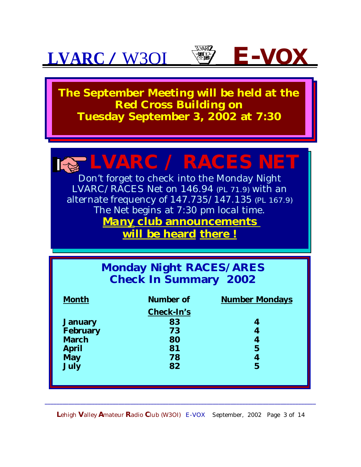





**The September Meeting will be held at the Red Cross Building on Tuesday September 3, 2002 at 7:30** 

## **LVARC / RACES NET**

Don't forget to check into the Monday Night LVARC/RACES Net on 146.94 (PL 71.9) with an alternate frequency of 147.735/147.135 (PL 167.9) The Net begins at 7:30 pm local time. *Many* **club announcements will be heard there !**

#### **Monday Night RACES/ARES Check In Summary 2002**

| <b>Month</b>    | <b>Number of</b>  | <b>Number Mondays</b> |  |  |
|-----------------|-------------------|-----------------------|--|--|
|                 | <b>Check-In's</b> |                       |  |  |
| <b>January</b>  | 83                | 4                     |  |  |
| <b>February</b> | 73                | 4                     |  |  |
| <b>March</b>    | 80                | 4                     |  |  |
| <b>April</b>    | 81                | $5\overline{5}$       |  |  |
| <b>May</b>      | 78                | 4                     |  |  |
| <b>July</b>     | 82                | $\mathbf 5$           |  |  |
|                 |                   |                       |  |  |
|                 |                   |                       |  |  |

**L**ehigh **V**alley **A**mateur **R**adio **C**lub (W3OI) E-VOX September, 2002 Page 3 of 14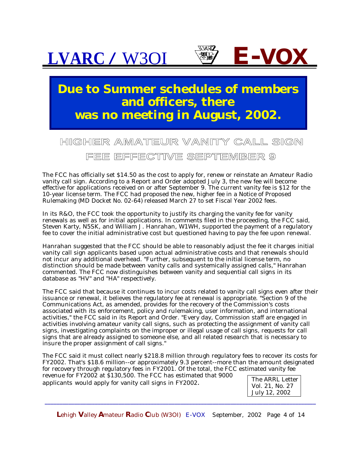

**FEE EFFECTIVE SEPTEMBER 9**

The FCC has officially set \$14.50 as the cost to apply for, renew or reinstate an Amateur Radio vanity call sign. According to a Report and Order adopted July 3, the new fee will become effective for applications received on or after September 9. The current vanity fee is \$12 for the 10-year license term. The FCC had proposed the new, higher fee in a Notice of Proposed Rulemaking (MD Docket No. 02-64) released March 27 to set Fiscal Year 2002 fees.

In its R&O, the FCC took the opportunity to justify its charging the vanity fee for vanity renewals as well as for initial applications. In comments filed in the proceeding, the FCC said, Steven Karty, N5SK, and William J. Hanrahan, W1WH, supported the payment of a regulatory fee to cover the initial administrative cost but questioned having to pay the fee upon renewal.

Hanrahan suggested that the FCC should be able to reasonably adjust the fee it charges initial vanity call sign applicants based upon actual administrative costs and that renewals should not incur any additional overhead. "Further, subsequent to the initial license term, no distinction should be made between vanity calls and systemically assigned calls," Hanrahan commented. The FCC now distinguishes between vanity and sequential call signs in its database as "HV" and "HA" respectively.

The FCC said that because it continues to incur costs related to vanity call signs even after their issuance or renewal, it believes the regulatory fee at renewal is appropriate. "Section 9 of the Communications Act, as amended, provides for the recovery of the Commission's costs associated with its enforcement, policy and rulemaking, user information, and international activities," the FCC said in its Report and Order. "Every day, Commission staff are engaged in activities involving amateur vanity call signs, such as protecting the assignment of vanity call signs, investigating complaints on the improper or illegal usage of call signs, requests for call signs that are already assigned to someone else, and all related research that is necessary to insure the proper assignment of call signs."

The FCC said it must collect nearly \$218.8 million through regulatory fees to recover its costs for FY2002. That's \$18.6 million--or approximately 9.3 percent--more than the amount designated for recovery through regulatory fees in FY2001. Of the total, the FCC estimated vanity fee

revenue for FY2002 at \$130,500. The FCC has estimated that 9000 applicants would apply for vanity call signs in FY2002.

The ARRL Letter Vol. 21, No. 27 July 12, 2002

**L**ehigh **V**alley **A**mateur **R**adio **C**lub (W3OI) E-VOX September, 2002 Page 4 of 14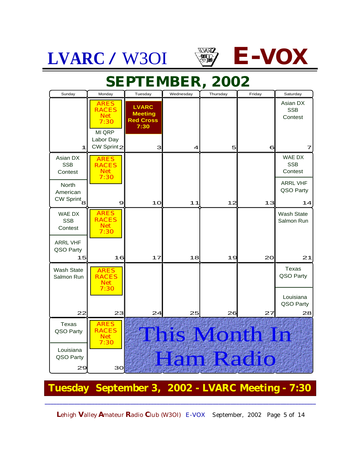



### **September 2002 SEPTEMBER, 2002**

| Sunday                                             | Monday                                            | Tuesday                                                    | Wednesday | Thursday | Friday               | Saturday                           |
|----------------------------------------------------|---------------------------------------------------|------------------------------------------------------------|-----------|----------|----------------------|------------------------------------|
|                                                    | <b>ARES</b><br><b>RACES</b><br><b>Net</b><br>7:30 | <b>LVARC</b><br><b>Meeting</b><br><b>Red Cross</b><br>7:30 |           |          |                      | Asian DX<br><b>SSB</b><br>Contest  |
| 1                                                  | MI QRP<br>Labor Day<br>CW Sprint2                 | 3                                                          | 4         | 5        | 6                    | 7                                  |
| Asian DX<br><b>SSB</b><br>Contest                  | <b>ARES</b><br><b>RACES</b><br><b>Net</b><br>7:30 |                                                            |           |          |                      | WAE DX<br><b>SSB</b><br>Contest    |
| <b>North</b><br>American<br>CW Sprint <sub>8</sub> | 9                                                 | 10                                                         | 11        | 12       | 13                   | <b>ARRL VHF</b><br>QSO Party<br>14 |
| WAE DX<br><b>SSB</b><br>Contest                    | <b>ARES</b><br><b>RACES</b><br><b>Net</b><br>7:30 |                                                            |           |          |                      | <b>Wash State</b><br>Salmon Run    |
| <b>ARRL VHF</b><br>QSO Party<br>15                 | 16                                                | 17                                                         | 18        | 19       | 20                   | 21                                 |
| <b>Wash State</b><br>Salmon Run                    | <b>ARES</b><br><b>RACES</b><br><b>Net</b><br>7:30 |                                                            |           |          |                      | <b>Texas</b><br>QSO Party          |
| 22                                                 | 23                                                | 24                                                         | 25        | 26       | 27                   | Louisiana<br>QSO Party<br>28       |
| Texas<br>QSO Party                                 | <b>ARES</b><br><b>RACES</b><br><b>Net</b><br>7:30 |                                                            |           |          | <b>This Month In</b> |                                    |
| Louisiana<br>QSO Party<br>29                       | 30                                                |                                                            |           |          | Ham Radio            |                                    |
| Tuesday September 3, 2002 - LVARC Meeting - 7:30   |                                                   |                                                            |           |          |                      |                                    |

**L**ehigh **V**alley **A**mateur **R**adio **C**lub (W3OI) E-VOX September, 2002 Page 5 of 14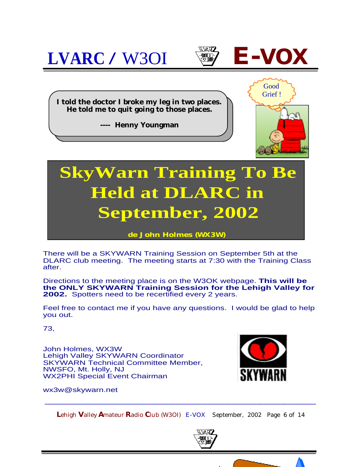

**de John Holmes (WX3W)**

There will be a SKYWARN Training Session on September 5th at the DLARC club meeting. The meeting starts at 7:30 with the Training Class after.

Directions to the meeting place is on the W3OK webpage. **This will be the ONLY SKYWARN Training Session for the Lehigh Valley for 2002.** Spotters need to be recertified every 2 years.

Feel free to contact me if you have any questions. I would be glad to help you out.

73,

John Holmes, WX3W Lehigh Valley SKYWARN Coordinator SKYWARN Technical Committee Member, NWSFO, Mt. Holly, NJ WX2PHI Special Event Chairman



[wx3w@skywarn.net](mailto:wx3w@skywarn.net)

**L**ehigh **V**alley **A**mateur **R**adio **C**lub (W3OI) E-VOX September, 2002 Page 6 of 14



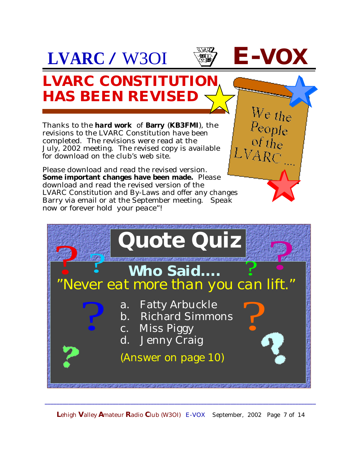

 $\frac{We}{E}$ 

 $P_{\text{eople}}$ <br>of the

#### **LVARC CONSTITUTION HAS BEEN REVISED**

Thanks to the *hard work* of **Barry** (**KB3FMI**), the revisions to the LVARC Constitution have been completed. The revisions were read at the July, 2002 meeting. The revised copy is available for download on the club's web site.

Please download and read the revised version. **Some important changes have been made.** Please download and read the revised version of the LVARC Constitution and By-Laws and offer any changes Barry via email or at the September meeting. *Speak now or forever hold your peace"!*



**L**ehigh **V**alley **A**mateur **R**adio **C**lub (W3OI) E-VOX September, 2002 Page 7 of 14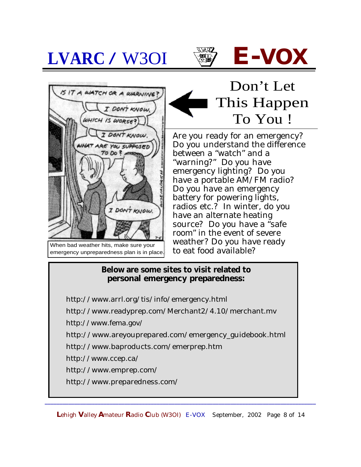



When bad weather hits, make sure your emergency unpreparedness plan is in place.

#### Don't Let This Happen To You !

Are you ready for an emergency? Do you understand the difference between a "watch" and a "warning?" Do you have emergency lighting? Do you have a portable AM/FM radio? Do you have an emergency battery for powering lights, radios etc.? In winter, do you have an alternate heating source? Do you have a "safe room" in the event of severe weather? Do you have ready to eat food available?

#### **Below are some sites to visit related to personal emergency preparedness:**

<http://www.arrl.org/tis/info/emergency.html> <http://www.readyprep.com/Merchant2/4.10/merchant.mv> <http://www.fema.gov/> [http://www.areyouprepared.com/emergency\\_guidebook.html](http://www.areyouprepared.com/emergency_guidebook.html) <http://www.baproducts.com/emerprep.htm> <http://www.ccep.ca/> <http://www.emprep.com/>

<http://www.preparedness.com/>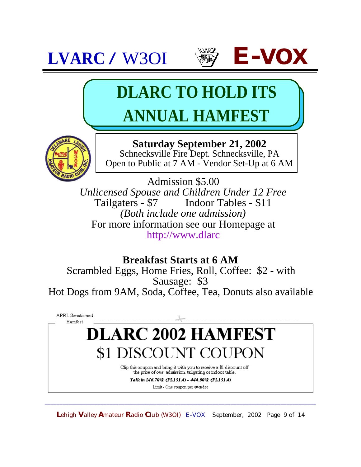



# **DLARC TO HOLD ITS ANNUAL HAMFEST**



**Saturday September 21, 2002** Schnecksville Fire Dept. Schnecksville, PA Open to Public at 7 AM - Vendor Set-Up at 6 AM

Admission \$5.00 *Unlicensed Spouse and Children Under 12 Free* Indoor Tables - \$11 *(Both include one admission)* For more information see our Homepage at <http://www.dlarc>

**Breakfast Starts at 6 AM**

Scrambled Eggs, Home Fries, Roll, Coffee: \$2 - with Sausage: \$3 Hot Dogs from 9AM, Soda, Coffee, Tea, Donuts also available

ARRL Sanctioned Hamfest

### **DLARC 2002 HAMFEST** \$1 DISCOUNT COUPON

Clip this coupon and bring it with you to receive a \$1 discount off the price of one admission, tailgating or indoor table.

Talk in 146.70/R (PL151.4) - 444.90/R (PL151.4) Limit - One coupon per attendee

**L**ehigh **V**alley **A**mateur **R**adio **C**lub (W3OI) E-VOX September, 2002 Page 9 of 14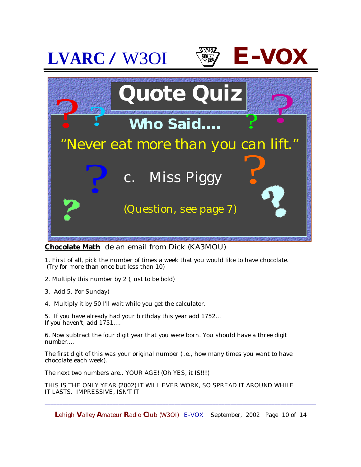

**Chocolate Math** de an email from Dick (KA3MOU)

1. First of all, pick the number of times a week that you would like to have chocolate. (Try for more than once but less than 10)

- 2. Multiply this number by 2 (Just to be bold)
- 3. Add 5. (for Sunday)
- 4. Multiply it by 50 I'll wait while you get the calculator.

5. If you have already had your birthday this year add 1752... If you haven't, add 1751....

6. Now subtract the four digit year that you were born. You should have a three digit number....

The first digit of this was your original number (i.e., how many times you want to have chocolate each week).

The next two numbers are.. YOUR AGE! (Oh YES, it IS!!!!)

THIS IS THE ONLY YEAR (2002) IT WILL EVER WORK, SO SPREAD IT AROUND WHILE IT LASTS. IMPRESSIVE, ISN'T IT

**L**ehigh **V**alley **A**mateur **R**adio **C**lub (W3OI) E-VOX September, 2002 Page 10 of 14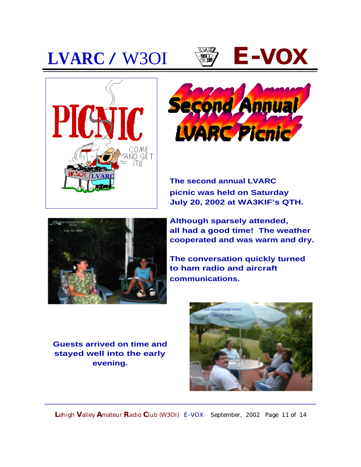







**The second annual LVARC picnic was held on Saturday July 20, 2002 at WA3KIF's QTH.**



**Although sparsely attended, all had a good time! The weather cooperated and was warm and dry.**

**The conversation quickly turned to ham radio and aircraft communications.** 

**Guests arrived on time and stayed well into the early evening.** 



**L**ehigh **V**alley **A**mateur **R**adio **C**lub (W3OI) E-VOX September, 2002 Page 11 of 14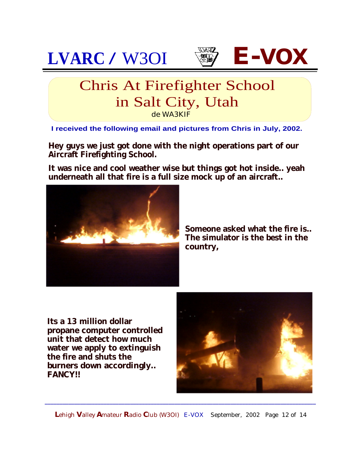





#### Chris At Firefighter School in Salt City, Utah de WA3KIF

**I received the following email and pictures from Chris in July, 2002.**

**Hey guys we just got done with the night operations part of our Aircraft Firefighting School.**

**It was nice and cool weather wise but things got hot inside.. yeah underneath all that fire is a full size mock up of an aircraft..**



**Someone asked what the fire is.. The simulator is the best in the country,**

**Its a 13 million dollar propane computer controlled unit that detect how much water we apply to extinguish the fire and shuts the burners down accordingly.. FANCY!!**



**L**ehigh **V**alley **A**mateur **R**adio **C**lub (W3OI) E-VOX September, 2002 Page 12 of 14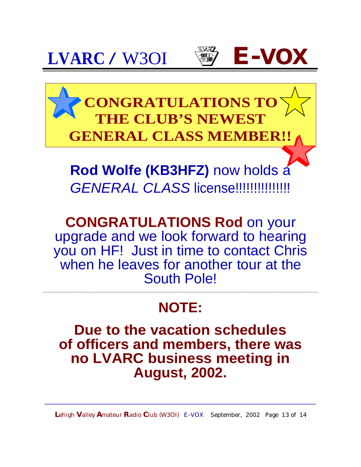## **LVARC / W3OI ② E-VO**





**CONGRATULATIONS TO E CLUB'S NEWEST GENERAL CLASS MEMBER!!**

**Rod Wolfe (KB3HFZ)** now holds a GENERAL CLASS license!!!!!!!!!!!!!!!!!

**CONGRATULATIONS Rod** on your upgrade and we look forward to hearing you on HF! Just in time to contact Chris when he leaves for another tour at the South Pole!

#### **NOTE:**

**\_\_\_\_\_\_\_\_\_\_\_\_\_\_\_\_\_\_\_\_\_\_\_\_\_\_\_\_\_\_\_\_\_\_\_\_\_\_\_\_\_\_\_\_\_\_\_\_\_\_\_\_\_\_\_\_\_\_\_\_\_\_\_\_\_\_\_\_\_\_\_\_\_\_\_\_\_\_**

**Due to the vacation schedules of officers and members, there was no LVARC business meeting in August, 2002.**

**L**ehigh **V**alley **A**mateur **R**adio **C**lub (W3OI) E-VOX September, 2002 Page 13 of 14